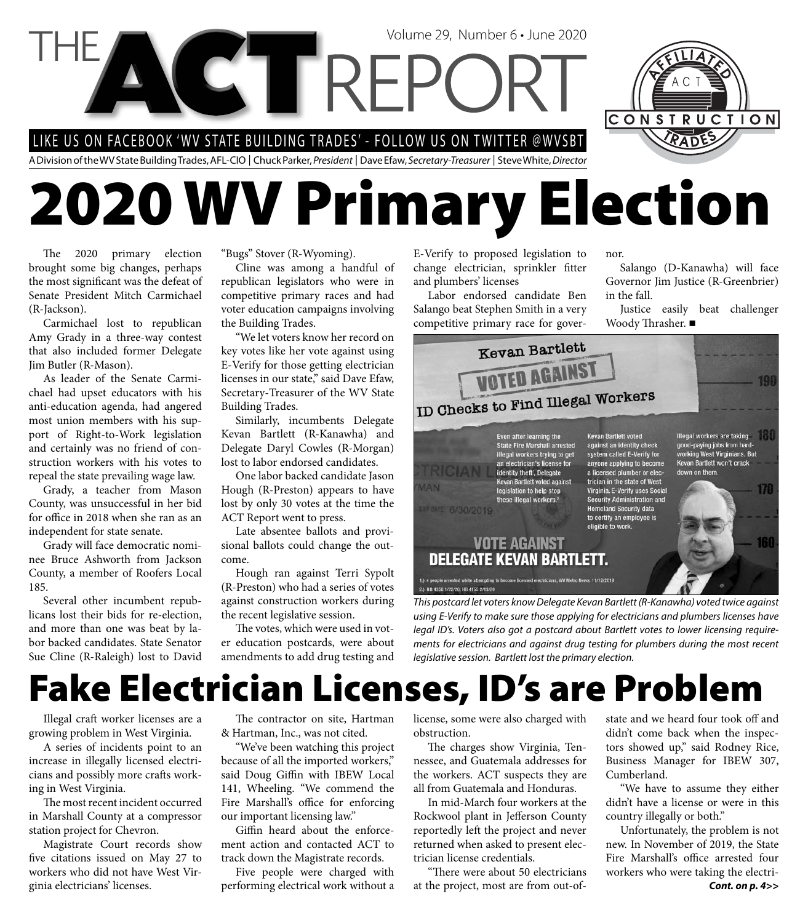LIKE US ON FACEBOOK 'WV STATE BUILDING TRADES' - FOLLOW US ON TWITTER @WVSBT

A Division of the WV State Building Trades, AFL-CIO | Chuck Parker, President | Dave Efaw, Secretary-Treasurer | Steve White, Director

# **2020 WV Primary Election**

Volume 29, Number 6 • June 2020

The 2020 primary election brought some big changes, perhaps the most significant was the defeat of Senate President Mitch Carmichael (R-Jackson).

Carmichael lost to republican Amy Grady in a three-way contest that also included former Delegate Jim Butler (R-Mason).

As leader of the Senate Carmichael had upset educators with his anti-education agenda, had angered most union members with his support of Right-to-Work legislation and certainly was no friend of construction workers with his votes to repeal the state prevailing wage law.

Grady, a teacher from Mason County, was unsuccessful in her bid for office in 2018 when she ran as an independent for state senate.

Grady will face democratic nominee Bruce Ashworth from Jackson County, a member of Roofers Local 185.

Several other incumbent republicans lost their bids for re-election, and more than one was beat by labor backed candidates. State Senator Sue Cline (R-Raleigh) lost to David "Bugs" Stover (R-Wyoming).

Cline was among a handful of republican legislators who were in competitive primary races and had voter education campaigns involving the Building Trades.

"We let voters know her record on key votes like her vote against using E-Verify for those getting electrician licenses in our state," said Dave Efaw, Secretary-Treasurer of the WV State Building Trades.

Similarly, incumbents Delegate Kevan Bartlett (R-Kanawha) and Delegate Daryl Cowles (R-Morgan) lost to labor endorsed candidates.

One labor backed candidate Jason Hough (R-Preston) appears to have lost by only 30 votes at the time the ACT Report went to press.

Late absentee ballots and provisional ballots could change the outcome.

Hough ran against Terri Sypolt (R-Preston) who had a series of votes against construction workers during the recent legislative session.

The votes, which were used in voter education postcards, were about amendments to add drug testing and E-Verify to proposed legislation to change electrician, sprinkler fitter and plumbers' licenses

Labor endorsed candidate Ben Salango beat Stephen Smith in a very competitive primary race for governor.

Salango (D-Kanawha) will face Governor Jim Justice (R-Greenbrier) in the fall.

CONSTRUCTION

Justice easily beat challenger Woody Thrasher.



using E-Verify to make sure those applying for electricians and plumbers licenses have legal ID's. Voters also got a postcard about Bartlett votes to lower licensing requirements for electricians and against drug testing for plumbers during the most recent legislative session. Bartlett lost the primary election.

## **Fake Electrician Licenses, ID's are Problem**

Illegal craft worker licenses are a growing problem in West Virginia.

A series of incidents point to an increase in illegally licensed electricians and possibly more crafts working in West Virginia.

The most recent incident occurred in Marshall County at a compressor station project for Chevron.

Magistrate Court records show five citations issued on May 27 to workers who did not have West Virginia electricians' licenses.

The contractor on site, Hartman & Hartman, Inc., was not cited.

"We've been watching this project because of all the imported workers," said Doug Giffin with IBEW Local 141, Wheeling. "We commend the Fire Marshall's office for enforcing our important licensing law."

Giffin heard about the enforcement action and contacted ACT to track down the Magistrate records.

Five people were charged with performing electrical work without a license, some were also charged with obstruction.

The charges show Virginia, Tennessee, and Guatemala addresses for the workers. ACT suspects they are all from Guatemala and Honduras.

In mid-March four workers at the Rockwool plant in Jefferson County reportedly left the project and never returned when asked to present electrician license credentials.

"There were about 50 electricians at the project, most are from out-ofstate and we heard four took off and didn't come back when the inspectors showed up," said Rodney Rice, Business Manager for IBEW 307, Cumberland.

"We have to assume they either didn't have a license or were in this country illegally or both."

*Cont. on p. 4>>* Unfortunately, the problem is not new. In November of 2019, the State Fire Marshall's office arrested four workers who were taking the electri-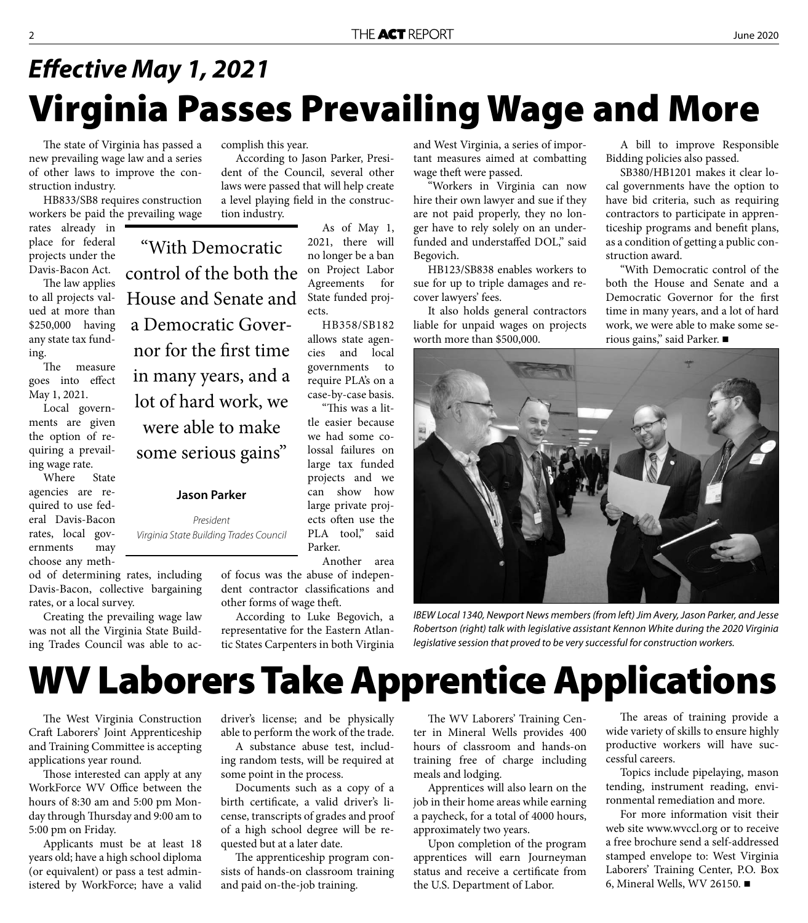## **Virginia Passes Prevailing Wage and More** *Eff ective May 1, 2021*

The state of Virginia has passed a new prevailing wage law and a series of other laws to improve the construction industry.

HB833/SB8 requires construction workers be paid the prevailing wage

rates already in place for federal projects under the Davis-Bacon Act.

The law applies to all projects valued at more than \$250,000 having any state tax funding.

The measure goes into effect May 1, 2021.

Local governments are given the option of requiring a prevailing wage rate.

Where State agencies are required to use federal Davis-Bacon rates, local governments may choose any meth-

od of determining rates, including Davis-Bacon, collective bargaining rates, or a local survey.

Creating the prevailing wage law was not all the Virginia State Building Trades Council was able to accomplish this year.

"With Democratic

control of the both the

House and Senate and

a Democratic Gover-

nor for the first time

in many years, and a

lot of hard work, we

were able to make

some serious gains"

**Jason Parker** 

President Virginia State Building Trades Council

According to Jason Parker, President of the Council, several other laws were passed that will help create a level playing field in the construction industry.

> As of May 1, 2021, there will no longer be a ban on Project Labor Agreements for State funded projects.

HB358/SB182 allows state agencies and local governments to require PLA's on a case-by-case basis.

"This was a little easier because we had some colossal failures on large tax funded projects and we can show how large private projects often use the PLA tool," said Parker.

Another area of focus was the abuse of independent contractor classifications and other forms of wage theft.

According to Luke Begovich, a representative for the Eastern Atlantic States Carpenters in both Virginia and West Virginia, a series of important measures aimed at combatting wage theft were passed.

"Workers in Virginia can now hire their own lawyer and sue if they are not paid properly, they no longer have to rely solely on an underfunded and understaffed DOL," said Begovich.

HB123/SB838 enables workers to sue for up to triple damages and recover lawyers' fees.

It also holds general contractors liable for unpaid wages on projects worth more than \$500,000.

A bill to improve Responsible Bidding policies also passed.

SB380/HB1201 makes it clear local governments have the option to have bid criteria, such as requiring contractors to participate in apprenticeship programs and benefit plans, as a condition of getting a public construction award.

"With Democratic control of the both the House and Senate and a Democratic Governor for the first time in many years, and a lot of hard work, we were able to make some serious gains," said Parker.



IBEW Local 1340, Newport News members (from left) Jim Avery, Jason Parker, and Jesse Robertson (right) talk with legislative assistant Kennon White during the 2020 Virginia legislative session that proved to be very successful for construction workers.

## **WV Laborers Take Apprentice Applications**

The West Virginia Construction Craft Laborers' Joint Apprenticeship and Training Committee is accepting applications year round.

Those interested can apply at any WorkForce WV Office between the hours of 8:30 am and 5:00 pm Monday through Thursday and 9:00 am to 5:00 pm on Friday.

Applicants must be at least 18 years old; have a high school diploma (or equivalent) or pass a test administered by WorkForce; have a valid driver's license; and be physically able to perform the work of the trade.

A substance abuse test, including random tests, will be required at some point in the process.

Documents such as a copy of a birth certificate, a valid driver's license, transcripts of grades and proof of a high school degree will be requested but at a later date.

The apprenticeship program consists of hands-on classroom training and paid on-the-job training.

The WV Laborers' Training Center in Mineral Wells provides 400 hours of classroom and hands-on training free of charge including meals and lodging.

Apprentices will also learn on the job in their home areas while earning a paycheck, for a total of 4000 hours, approximately two years.

Upon completion of the program apprentices will earn Journeyman status and receive a certificate from the U.S. Department of Labor.

The areas of training provide a wide variety of skills to ensure highly productive workers will have successful careers.

Topics include pipelaying, mason tending, instrument reading, environmental remediation and more.

For more information visit their web site www.wvccl.org or to receive a free brochure send a self-addressed stamped envelope to: West Virginia Laborers' Training Center, P.O. Box 6, Mineral Wells, WV 26150.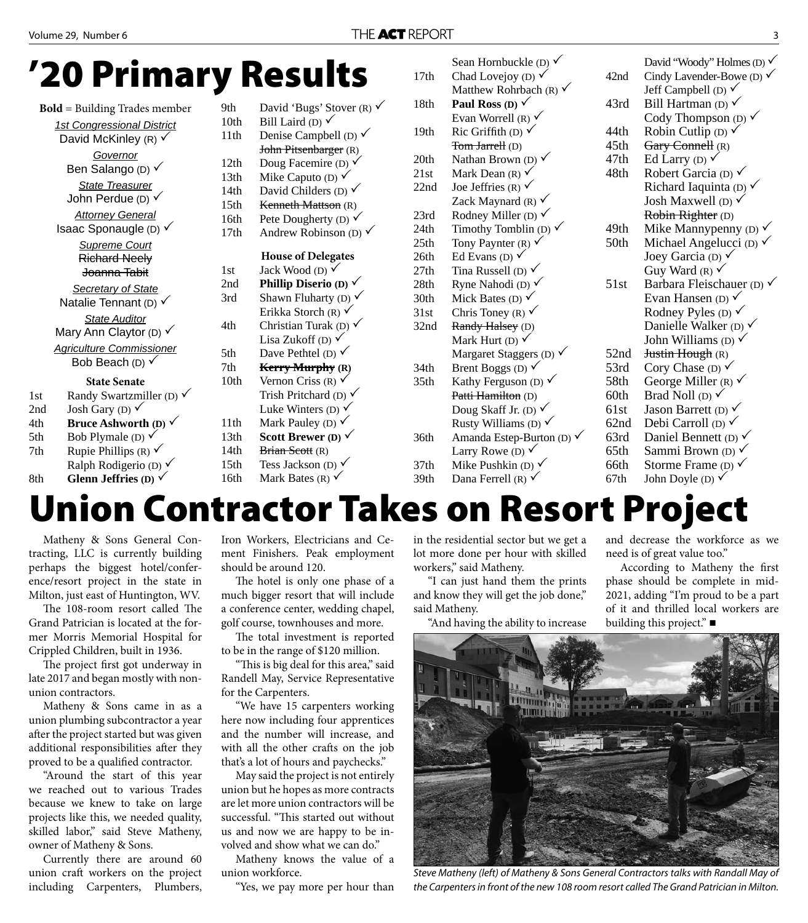#### **'20 Primary Results**

| <b>Bold</b> = Building Trades member |                                                               | 9th              | David 'Bugs' Stover (R) $\checkmark$ | 18th             |
|--------------------------------------|---------------------------------------------------------------|------------------|--------------------------------------|------------------|
|                                      | <b>1st Congressional District</b>                             | 10 <sub>th</sub> | Bill Laird (D) $\checkmark$          |                  |
|                                      | David McKinley (R) $\checkmark$                               | 11th             | Denise Campbell (D) $\checkmark$     | 19th             |
|                                      | Governor                                                      |                  | John Pitsenbarger (R)                |                  |
|                                      | Ben Salango (D) √                                             | 12th             | Doug Facemire (D) $\checkmark$       | 20th             |
|                                      |                                                               | 13th             | Mike Caputo (D) $\checkmark$         | 21st             |
|                                      | <b>State Treasurer</b>                                        |                  | David Childers (D) $\checkmark$      | 22nd             |
|                                      | John Perdue (D) $\checkmark$                                  | 15 <sub>th</sub> | Kenneth Mattson (R)                  |                  |
|                                      | <b>Attorney General</b>                                       | 16th             | Pete Dougherty (D) $\checkmark$      | 23rd             |
|                                      | Isaac Sponaugle (D) $\checkmark$                              | 17th             | Andrew Robinson (D) $\checkmark$     | 24th             |
|                                      | <b>Supreme Court</b>                                          |                  |                                      | 25th             |
|                                      | <b>Richard Neely</b>                                          |                  | <b>House of Delegates</b>            | 26th             |
|                                      | Joanna Tabit                                                  | 1st              | Jack Wood (D) $\checkmark$           | 27th             |
|                                      | <b>Secretary of State</b>                                     | 2nd              | Phillip Diserio (D) $\checkmark$     | 28th             |
|                                      | Natalie Tennant (D) $\checkmark$                              | 3rd              | Shawn Fluharty (D) $\checkmark$      | 30th             |
|                                      | <b>State Auditor</b>                                          |                  | Erikka Storch (R) $\checkmark$       | 31st             |
|                                      | Mary Ann Claytor (D) $\checkmark$                             | 4th              | Christian Turak (D) $\checkmark$     | 32nd             |
|                                      | <b>Agriculture Commissioner</b><br>Bob Beach (D) $\checkmark$ |                  | Lisa Zukoff (D) $\checkmark$         |                  |
|                                      |                                                               |                  | Dave Pethtel (D) $\checkmark$        |                  |
|                                      |                                                               | 7th              | <b>Kerry Murphy</b> (R)              | 34 <sub>th</sub> |
|                                      | <b>State Senate</b>                                           | 10 <sub>th</sub> | Vernon Criss (R) $\checkmark$        | 35 <sub>th</sub> |
| 1st                                  | Randy Swartzmiller (D) $\checkmark$                           |                  | Trish Pritchard (D) $\checkmark$     |                  |
| 2nd                                  | Josh Gary (D) $\checkmark$                                    |                  | Luke Winters (D) $\checkmark$        |                  |
| 4th                                  | Bruce Ashworth (D) $\checkmark$                               | 11th             | Mark Pauley (D) $\checkmark$         |                  |
| 5th                                  | Bob Plymale (D) $\checkmark$                                  | 13th             | Scott Brewer (D) $\checkmark$        | 36th             |
| 7th                                  | Rupie Phillips (R) $\checkmark$                               | 14th             | Brian Scott (R)                      |                  |
|                                      | Ralph Rodigerio (D) $\checkmark$                              | 15 <sup>th</sup> | Tess Jackson (D) $\checkmark$        | 37 <sub>th</sub> |
| 8th                                  | Glenn Jeffries (D) $\checkmark$                               | 16th             | Mark Bates (R) $\checkmark$          | 39th             |

|                  | Sean Hornbuckle (D) $\checkmark$     |                  | David "Woody" Holmes (D) $\checkmark$ |
|------------------|--------------------------------------|------------------|---------------------------------------|
| 17th             | Chad Lovejoy (D) $\checkmark$        | 42nd             | Cindy Lavender-Bowe (D) $\checkmark$  |
|                  | Matthew Rohrbach (R) $\checkmark$    |                  | Jeff Campbell (D) $\checkmark$        |
| 18th             | Paul Ross (D) $\checkmark$           | 43rd             | Bill Hartman (D) $\checkmark$         |
|                  | Evan Worrell (R) $\checkmark$        |                  | Cody Thompson (D) $\checkmark$        |
| 19th             | Ric Griffith (D) $\checkmark$        | 44th             | Robin Cutlip (D) $\checkmark$         |
|                  | Tom Jarrell (D)                      | 45 <sub>th</sub> | Gary Connell (R)                      |
| 20th             | Nathan Brown (D) $\checkmark$        | 47th             | Ed Larry (D) $\checkmark$             |
| 21st             | Mark Dean $(R)$ $\vee$               | 48th             | Robert Garcia (D) $\checkmark$        |
| 22nd             | Joe Jeffries (R) $\checkmark$        |                  | Richard Iaquinta (D) $\checkmark$     |
|                  | Zack Maynard (R) $\checkmark$        |                  | Josh Maxwell (D) $\checkmark$         |
| 23rd             | Rodney Miller (D) $\checkmark$       |                  | Robin Righter (D)                     |
| 24th             | Timothy Tomblin (D) $\checkmark$     | 49th             | Mike Manny penny (D) $\checkmark$     |
| 25 <sub>th</sub> | Tony Paynter (R) $\checkmark$        | 50th             | Michael Angelucci (D) $\checkmark$    |
| 26th             | Ed Evans (D) $\checkmark$            |                  | Joey Garcia (D) $\checkmark$          |
| 27th             | Tina Russell (D) $\checkmark$        |                  | Guy Ward (R) $\checkmark$             |
| 28th             | Ryne Nahodi (D) $\checkmark$         | 51st             | Barbara Fleischauer (D) $\checkmark$  |
| 30th             | Mick Bates (D) $\checkmark$          |                  | Evan Hansen (D) $\checkmark$          |
| 31st             | Chris Toney (R) $\checkmark$         |                  | Rodney Pyles (D) $\checkmark$         |
| 32nd             | Randy Halsey (D)                     |                  | Danielle Walker (D) $\checkmark$      |
|                  | Mark Hurt (D) $\checkmark$           |                  | John Williams (D) $\checkmark$        |
|                  | Margaret Staggers (D) $\checkmark$   | 52nd             | Justin Hough (R)                      |
| 34th             | Brent Boggs (D) $\checkmark$         | 53rd             | Cory Chase (D) $\checkmark$           |
| 35 <sub>th</sub> | Kathy Ferguson (D) $\checkmark$      | 58th             | George Miller (R) $\checkmark$        |
|                  | Patti Hamilton (D)                   | 60th             | Brad Noll (D) $\checkmark$            |
|                  | Doug Skaff Jr. (D) $\checkmark$      | 61st             | Jason Barrett (D) $\checkmark$        |
|                  | Rusty Williams (D) $\checkmark$      | 62nd             | Debi Carroll (D) $\checkmark$         |
| 36th             | Amanda Estep-Burton (D) $\checkmark$ | 63rd             | Daniel Bennett (D) $\checkmark$       |
|                  | Larry Rowe (D) $\checkmark$          | 65th             | Sammi Brown (D) √                     |
| 37th             | Mike Pushkin (D) $\checkmark$        | 66th             | Storme Frame (D) $\checkmark$         |
| 39th             | Dana Ferrell (R) $\checkmark$        | 67th             | John Doyle (D) $\checkmark$           |

## **Union Contractor Takes on Resort Project**

Matheny & Sons General Contracting, LLC is currently building perhaps the biggest hotel/conference/resort project in the state in Milton, just east of Huntington, WV.

The 108-room resort called The Grand Patrician is located at the former Morris Memorial Hospital for Crippled Children, built in 1936.

The project first got underway in late 2017 and began mostly with nonunion contractors.

Matheny & Sons came in as a union plumbing subcontractor a year after the project started but was given additional responsibilities after they proved to be a qualified contractor.

"Around the start of this year we reached out to various Trades because we knew to take on large projects like this, we needed quality, skilled labor," said Steve Matheny, owner of Matheny & Sons.

Currently there are around 60 union craft workers on the project including Carpenters, Plumbers, Iron Workers, Electricians and Cement Finishers. Peak employment should be around 120.

The hotel is only one phase of a much bigger resort that will include a conference center, wedding chapel, golf course, townhouses and more.

The total investment is reported to be in the range of \$120 million.

"This is big deal for this area," said Randell May, Service Representative for the Carpenters.

"We have 15 carpenters working here now including four apprentices and the number will increase, and with all the other crafts on the job that's a lot of hours and paychecks."

May said the project is not entirely union but he hopes as more contracts are let more union contractors will be successful. "This started out without us and now we are happy to be involved and show what we can do."

Matheny knows the value of a union workforce.

"Yes, we pay more per hour than

in the residential sector but we get a lot more done per hour with skilled workers," said Matheny.

"I can just hand them the prints and know they will get the job done," said Matheny.

"And having the ability to increase

and decrease the workforce as we need is of great value too."

According to Matheny the first phase should be complete in mid-2021, adding "I'm proud to be a part of it and thrilled local workers are building this project." ■



Steve Matheny (left) of Matheny & Sons General Contractors talks with Randall May of the Carpenters in front of the new 108 room resort called The Grand Patrician in Milton.